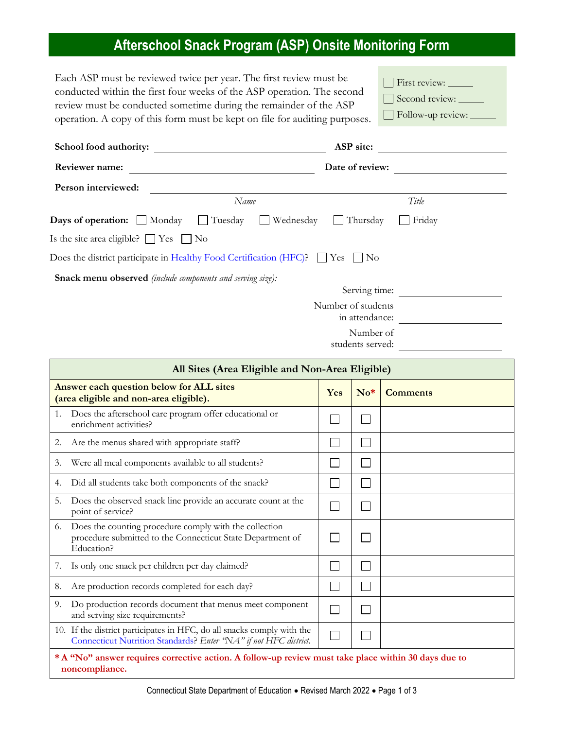## **Afterschool Snack Program (ASP) Onsite Monitoring Form**

Each ASP must be reviewed twice per year. The first review must be conducted within the first four weeks of the ASP operation. The second review must be conducted sometime during the remainder of the ASP operation. A copy of this form must be kept on file for auditing purposes.

| $\Box$ First review: $\Box$ |
|-----------------------------|
| Second review:              |
| Follow-up review:           |

| School food authority:                                            |                                                                                         | ASP site:                            |  |
|-------------------------------------------------------------------|-----------------------------------------------------------------------------------------|--------------------------------------|--|
| Reviewer name:                                                    | Date of review:                                                                         |                                      |  |
| Person interviewed:                                               |                                                                                         |                                      |  |
|                                                                   | Name                                                                                    | Title                                |  |
| <b>Days of operation:</b> Monday                                  | $\Box$ Tuesday<br>Wednesday                                                             | Friday<br>Thursday                   |  |
| Is the site area eligible? $\Box$ Yes $\Box$ No                   |                                                                                         |                                      |  |
|                                                                   | Does the district participate in Healthy Food Certification (HFC)? $\Box$ Yes $\Box$ No |                                      |  |
| <b>Snack menu observed</b> (include components and serving size): |                                                                                         |                                      |  |
|                                                                   |                                                                                         | Serving time:                        |  |
|                                                                   |                                                                                         | Number of students<br>in attendance: |  |
|                                                                   |                                                                                         | Number of<br>students served:        |  |

| All Sites (Area Eligible and Non-Area Eligible)                                                                                            |                             |       |                 |
|--------------------------------------------------------------------------------------------------------------------------------------------|-----------------------------|-------|-----------------|
| Answer each question below for ALL sites<br>(area eligible and non-area eligible).                                                         |                             | $No*$ | <b>Comments</b> |
| Does the afterschool care program offer educational or<br>1.<br>enrichment activities?                                                     |                             |       |                 |
| Are the menus shared with appropriate staff?<br>2.                                                                                         |                             |       |                 |
| Were all meal components available to all students?<br>3.                                                                                  | $\mathcal{L}_{\mathcal{A}}$ |       |                 |
| Did all students take both components of the snack?<br>4.                                                                                  |                             |       |                 |
| 5.<br>Does the observed snack line provide an accurate count at the<br>point of service?                                                   | I.                          |       |                 |
| Does the counting procedure comply with the collection<br>6.<br>procedure submitted to the Connecticut State Department of<br>Education?   | $\mathcal{L}_{\mathcal{A}}$ |       |                 |
| Is only one snack per children per day claimed?<br>7.                                                                                      | $\mathcal{L}_{\mathcal{A}}$ |       |                 |
| Are production records completed for each day?<br>8.                                                                                       | $\mathbb{R}^n$              |       |                 |
| 9.<br>Do production records document that menus meet component<br>and serving size requirements?                                           |                             |       |                 |
| 10. If the district participates in HFC, do all snacks comply with the<br>Connecticut Nutrition Standards? Enter "NA" if not HFC district. | $\mathcal{L}_{\mathcal{A}}$ |       |                 |
| * A "No" answer requires corrective action. A follow-up review must take place within 30 days due to<br>noncompliance.                     |                             |       |                 |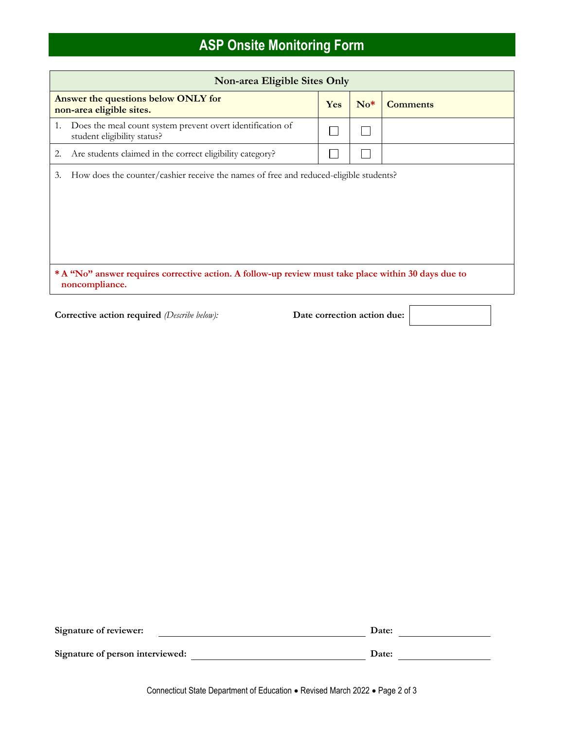## **ASP Onsite Monitoring Form**

| Non-area Eligible Sites Only                                                                                           |     |       |                 |
|------------------------------------------------------------------------------------------------------------------------|-----|-------|-----------------|
| Answer the questions below ONLY for<br>non-area eligible sites.                                                        | Yes | $No*$ | <b>Comments</b> |
| Does the meal count system prevent overt identification of<br>1.<br>student eligibility status?                        |     |       |                 |
| Are students claimed in the correct eligibility category?<br>2.                                                        |     |       |                 |
| How does the counter/cashier receive the names of free and reduced-eligible students?<br>3.                            |     |       |                 |
| * A "No" answer requires corrective action. A follow-up review must take place within 30 days due to<br>noncompliance. |     |       |                 |

Corrective action required (Describe below): Date correction action due:

| Signature of reviewer:           | Date: |
|----------------------------------|-------|
| Signature of person interviewed: | Date: |